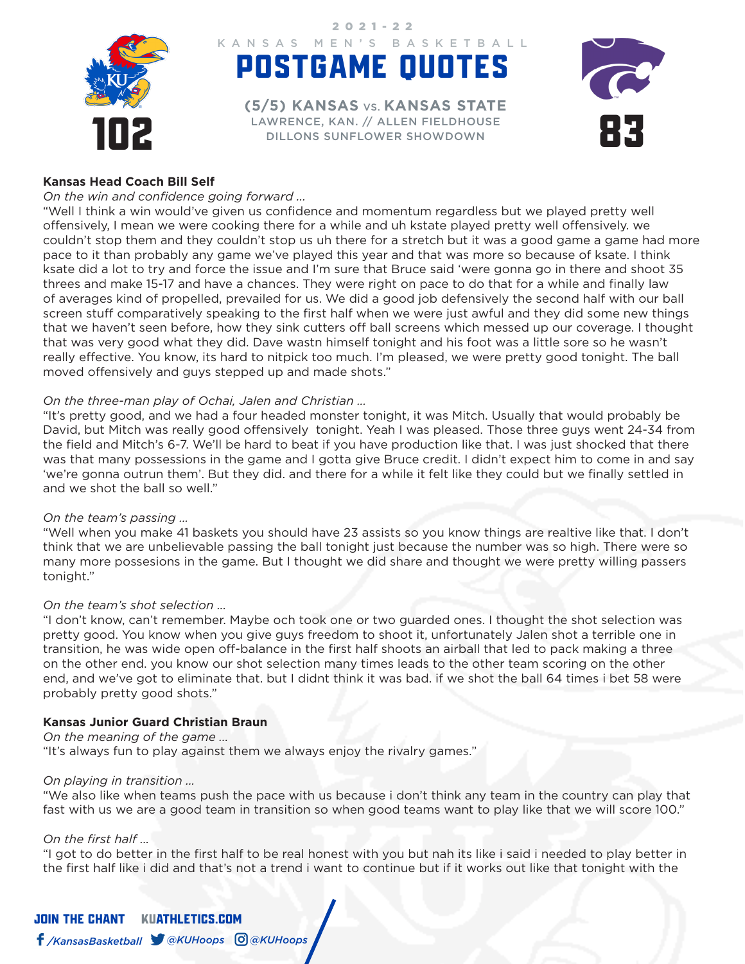

POSTGAME QUOTES KANSAS MEN'S BASKETBALL 2021-22

LAWRENCE, KAN. // ALLEN FIELDHOUSE<br>DILLONS SUNFLOWER SHOWDOWN **(5/5) KANSAS** VS. **KANSAS STATE** DILLONS SUNFLOWER SHOWDOWN



# **Kansas Head Coach Bill Self**

#### *On the win and confidence going forward ...*

"Well I think a win would've given us confidence and momentum regardless but we played pretty well offensively, I mean we were cooking there for a while and uh kstate played pretty well offensively. we couldn't stop them and they couldn't stop us uh there for a stretch but it was a good game a game had more pace to it than probably any game we've played this year and that was more so because of ksate. I think ksate did a lot to try and force the issue and I'm sure that Bruce said 'were gonna go in there and shoot 35 threes and make 15-17 and have a chances. They were right on pace to do that for a while and finally law of averages kind of propelled, prevailed for us. We did a good job defensively the second half with our ball screen stuff comparatively speaking to the first half when we were just awful and they did some new things that we haven't seen before, how they sink cutters off ball screens which messed up our coverage. I thought that was very good what they did. Dave wastn himself tonight and his foot was a little sore so he wasn't really effective. You know, its hard to nitpick too much. I'm pleased, we were pretty good tonight. The ball moved offensively and guys stepped up and made shots."

#### *On the three-man play of Ochai, Jalen and Christian ...*

"It's pretty good, and we had a four headed monster tonight, it was Mitch. Usually that would probably be David, but Mitch was really good offensively tonight. Yeah I was pleased. Those three guys went 24-34 from the field and Mitch's 6-7. We'll be hard to beat if you have production like that. I was just shocked that there was that many possessions in the game and I gotta give Bruce credit. I didn't expect him to come in and say 'we're gonna outrun them'. But they did. and there for a while it felt like they could but we finally settled in and we shot the ball so well."

#### *On the team's passing ...*

"Well when you make 41 baskets you should have 23 assists so you know things are realtive like that. I don't think that we are unbelievable passing the ball tonight just because the number was so high. There were so many more possesions in the game. But I thought we did share and thought we were pretty willing passers tonight."

## *On the team's shot selection ...*

"I don't know, can't remember. Maybe och took one or two guarded ones. I thought the shot selection was pretty good. You know when you give guys freedom to shoot it, unfortunately Jalen shot a terrible one in transition, he was wide open off-balance in the first half shoots an airball that led to pack making a three on the other end. you know our shot selection many times leads to the other team scoring on the other end, and we've got to eliminate that. but I didnt think it was bad. if we shot the ball 64 times i bet 58 were probably pretty good shots."

## **Kansas Junior Guard Christian Braun**

*On the meaning of the game ...*  "It's always fun to play against them we always enjoy the rivalry games."

#### *On playing in transition ...*

"We also like when teams push the pace with us because i don't think any team in the country can play that fast with us we are a good team in transition so when good teams want to play like that we will score 100."

#### *On the first half ...*

"I got to do better in the first half to be real honest with you but nah its like i said i needed to play better in the first half like i did and that's not a trend i want to continue but if it works out like that tonight with the

JOIN THE CHANTKUATHLETICS.COM */KansasBasketball @KUHoops @KUHoops*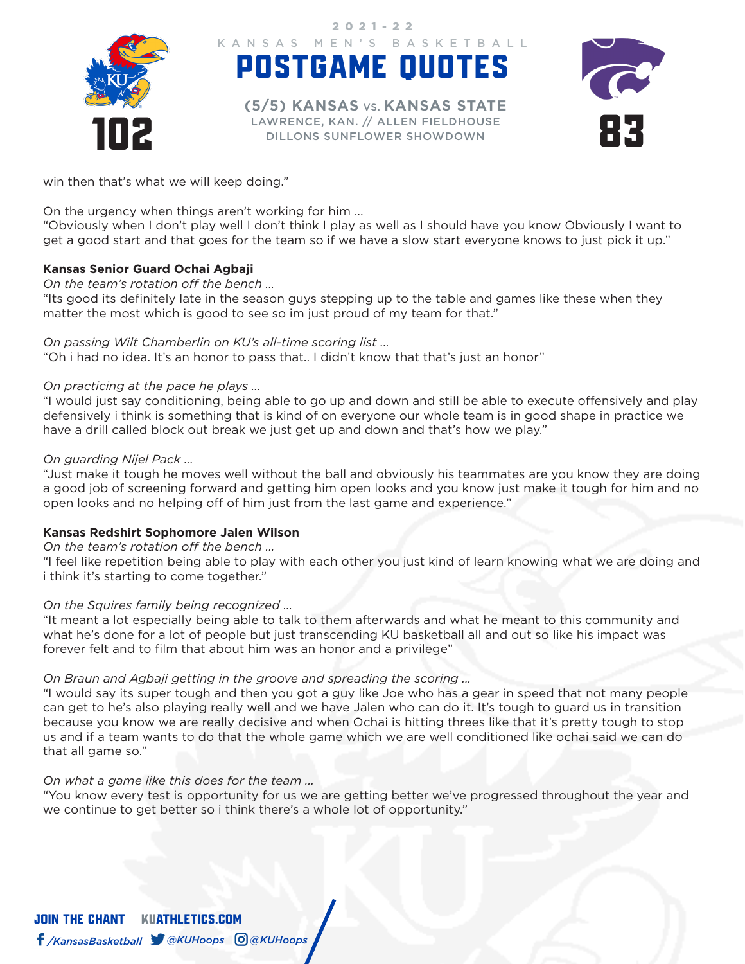

POSTGAME QUOTES KANSAS MEN'S BASKETBALL 2021-22

LAWRENCE, KAN. // ALLEN FIELDHOUSE<br>DILLONS SUNFLOWER SHOWDOWN **(5/5) KANSAS** VS. **KANSAS STATE** DILLONS SUNFLOWER SHOWDOWN



win then that's what we will keep doing."

On the urgency when things aren't working for him ...

"Obviously when I don't play well I don't think I play as well as I should have you know Obviously I want to get a good start and that goes for the team so if we have a slow start everyone knows to just pick it up."

# **Kansas Senior Guard Ochai Agbaji**

*On the team's rotation off the bench ...* 

"Its good its definitely late in the season guys stepping up to the table and games like these when they matter the most which is good to see so im just proud of my team for that."

## *On passing Wilt Chamberlin on KU's all-time scoring list ...*

"Oh i had no idea. It's an honor to pass that.. I didn't know that that's just an honor"

#### *On practicing at the pace he plays ...*

"I would just say conditioning, being able to go up and down and still be able to execute offensively and play defensively i think is something that is kind of on everyone our whole team is in good shape in practice we have a drill called block out break we just get up and down and that's how we play."

#### *On guarding Nijel Pack ...*

"Just make it tough he moves well without the ball and obviously his teammates are you know they are doing a good job of screening forward and getting him open looks and you know just make it tough for him and no open looks and no helping off of him just from the last game and experience."

## **Kansas Redshirt Sophomore Jalen Wilson**

## *On the team's rotation off the bench ...*

"I feel like repetition being able to play with each other you just kind of learn knowing what we are doing and i think it's starting to come together."

## *On the Squires family being recognized ...*

"It meant a lot especially being able to talk to them afterwards and what he meant to this community and what he's done for a lot of people but just transcending KU basketball all and out so like his impact was forever felt and to film that about him was an honor and a privilege"

## *On Braun and Agbaji getting in the groove and spreading the scoring ...*

"I would say its super tough and then you got a guy like Joe who has a gear in speed that not many people can get to he's also playing really well and we have Jalen who can do it. It's tough to guard us in transition because you know we are really decisive and when Ochai is hitting threes like that it's pretty tough to stop us and if a team wants to do that the whole game which we are well conditioned like ochai said we can do that all game so."

## *On what a game like this does for the team ...*

"You know every test is opportunity for us we are getting better we've progressed throughout the year and we continue to get better so i think there's a whole lot of opportunity."